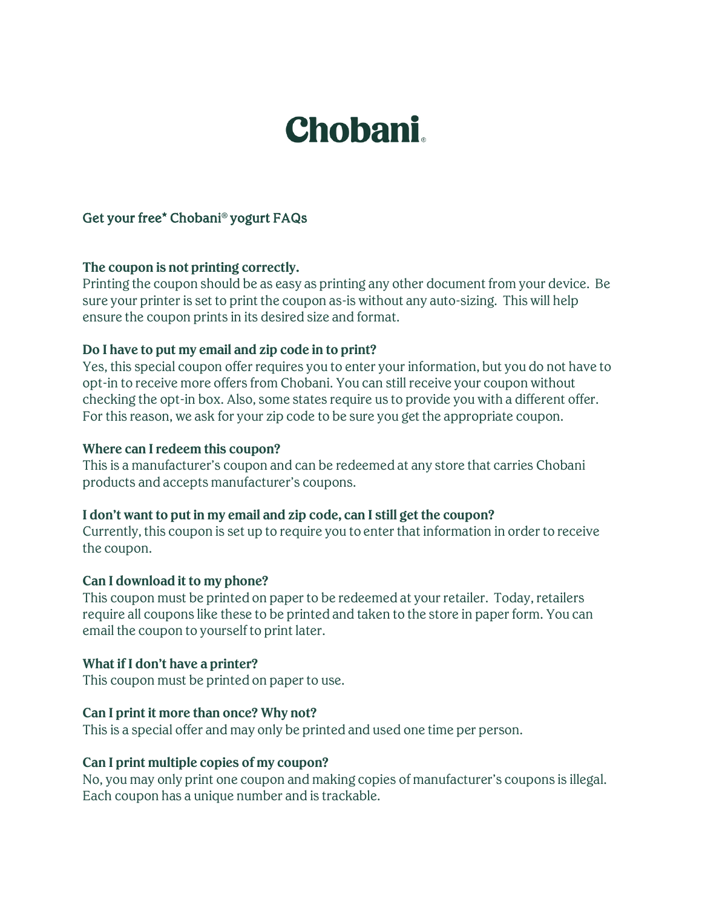# **Chobani**

## Get your free\* Chobani® yogurt FAQs

## **The coupon is not printing correctly.**

Printing the coupon should be as easy as printing any other document from your device. Be sure your printer is set to print the coupon as-is without any auto-sizing. This will help ensure the coupon prints in its desired size and format.

## **Do I have to put my email and zip code in to print?**

Yes, this special coupon offer requires you to enter your information, but you do not have to opt-in to receive more offers from Chobani. You can still receive your coupon without checking the opt-in box. Also, some states require us to provide you with a different offer. For this reason, we ask for your zip code to be sure you get the appropriate coupon.

## **Where can I redeem this coupon?**

This is a manufacturer's coupon and can be redeemed at any store that carries Chobani products and accepts manufacturer's coupons.

## **I don't want to put in my email and zip code, can I still get the coupon?**

Currently, this coupon is set up to require you to enter that information in order to receive the coupon.

## **Can I download it to my phone?**

This coupon must be printed on paper to be redeemed at your retailer. Today, retailers require all coupons like these to be printed and taken to the store in paper form. You can email the coupon to yourself to print later.

## **What if I don't have a printer?**

This coupon must be printed on paper to use.

## **Can I print it more than once? Why not?**

This is a special offer and may only be printed and used one time per person.

## **Can I print multiple copies of my coupon?**

No, you may only print one coupon and making copies of manufacturer's coupons is illegal. Each coupon has a unique number and is trackable.